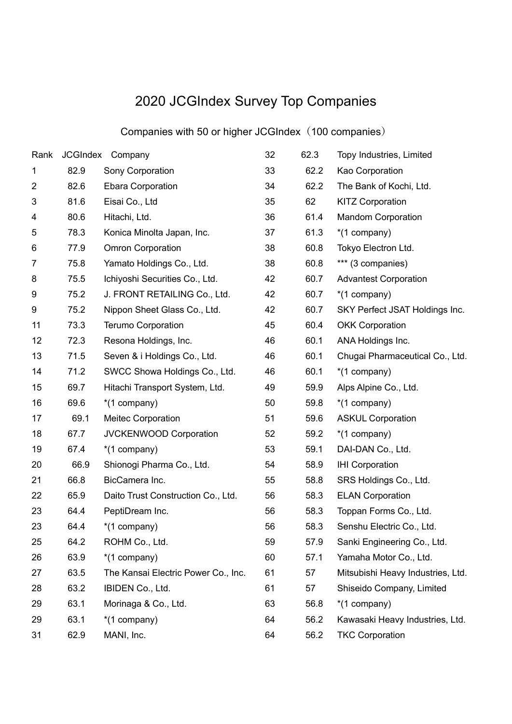## 2020 JCGIndex Survey Top Companies

## Companies with 50 or higher JCGIndex(100 companies)

| Rank           |      | JCGIndex Company                    | 32 | 62.3 | Topy Industries, Limited          |
|----------------|------|-------------------------------------|----|------|-----------------------------------|
| 1              | 82.9 | Sony Corporation                    | 33 | 62.2 | Kao Corporation                   |
| $\overline{2}$ | 82.6 | <b>Ebara Corporation</b>            | 34 | 62.2 | The Bank of Kochi, Ltd.           |
| 3              | 81.6 | Eisai Co., Ltd                      | 35 | 62   | <b>KITZ Corporation</b>           |
| 4              | 80.6 | Hitachi, Ltd.                       | 36 | 61.4 | <b>Mandom Corporation</b>         |
| 5              | 78.3 | Konica Minolta Japan, Inc.          | 37 | 61.3 | *(1 company)                      |
| 6              | 77.9 | <b>Omron Corporation</b>            | 38 | 60.8 | Tokyo Electron Ltd.               |
| $\overline{7}$ | 75.8 | Yamato Holdings Co., Ltd.           | 38 | 60.8 | *** (3 companies)                 |
| 8              | 75.5 | Ichiyoshi Securities Co., Ltd.      | 42 | 60.7 | <b>Advantest Corporation</b>      |
| 9              | 75.2 | J. FRONT RETAILING Co., Ltd.        | 42 | 60.7 | *(1 company)                      |
| 9              | 75.2 | Nippon Sheet Glass Co., Ltd.        | 42 | 60.7 | SKY Perfect JSAT Holdings Inc.    |
| 11             | 73.3 | <b>Terumo Corporation</b>           | 45 | 60.4 | <b>OKK Corporation</b>            |
| 12             | 72.3 | Resona Holdings, Inc.               | 46 | 60.1 | ANA Holdings Inc.                 |
| 13             | 71.5 | Seven & i Holdings Co., Ltd.        | 46 | 60.1 | Chugai Pharmaceutical Co., Ltd.   |
| 14             | 71.2 | SWCC Showa Holdings Co., Ltd.       | 46 | 60.1 | *(1 company)                      |
| 15             | 69.7 | Hitachi Transport System, Ltd.      | 49 | 59.9 | Alps Alpine Co., Ltd.             |
| 16             | 69.6 | *(1 company)                        | 50 | 59.8 | *(1 company)                      |
| 17             | 69.1 | <b>Meitec Corporation</b>           | 51 | 59.6 | <b>ASKUL Corporation</b>          |
| 18             | 67.7 | JVCKENWOOD Corporation              | 52 | 59.2 | *(1 company)                      |
| 19             | 67.4 | *(1 company)                        | 53 | 59.1 | DAI-DAN Co., Ltd.                 |
| 20             | 66.9 | Shionogi Pharma Co., Ltd.           | 54 | 58.9 | <b>IHI Corporation</b>            |
| 21             | 66.8 | BicCamera Inc.                      | 55 | 58.8 | SRS Holdings Co., Ltd.            |
| 22             | 65.9 | Daito Trust Construction Co., Ltd.  | 56 | 58.3 | <b>ELAN Corporation</b>           |
| 23             | 64.4 | PeptiDream Inc.                     | 56 | 58.3 | Toppan Forms Co., Ltd.            |
| 23             | 64.4 | *(1 company)                        | 56 | 58.3 | Senshu Electric Co., Ltd.         |
| 25             | 64.2 | ROHM Co., Ltd.                      | 59 | 57.9 | Sanki Engineering Co., Ltd.       |
| 26             | 63.9 | *(1 company)                        | 60 | 57.1 | Yamaha Motor Co., Ltd.            |
| 27             | 63.5 | The Kansai Electric Power Co., Inc. | 61 | 57   | Mitsubishi Heavy Industries, Ltd. |
| 28             | 63.2 | IBIDEN Co., Ltd.                    | 61 | 57   | Shiseido Company, Limited         |
| 29             | 63.1 | Morinaga & Co., Ltd.                | 63 | 56.8 | *(1 company)                      |
| 29             | 63.1 | *(1 company)                        | 64 | 56.2 | Kawasaki Heavy Industries, Ltd.   |
| 31             | 62.9 | MANI, Inc.                          | 64 | 56.2 | <b>TKC Corporation</b>            |